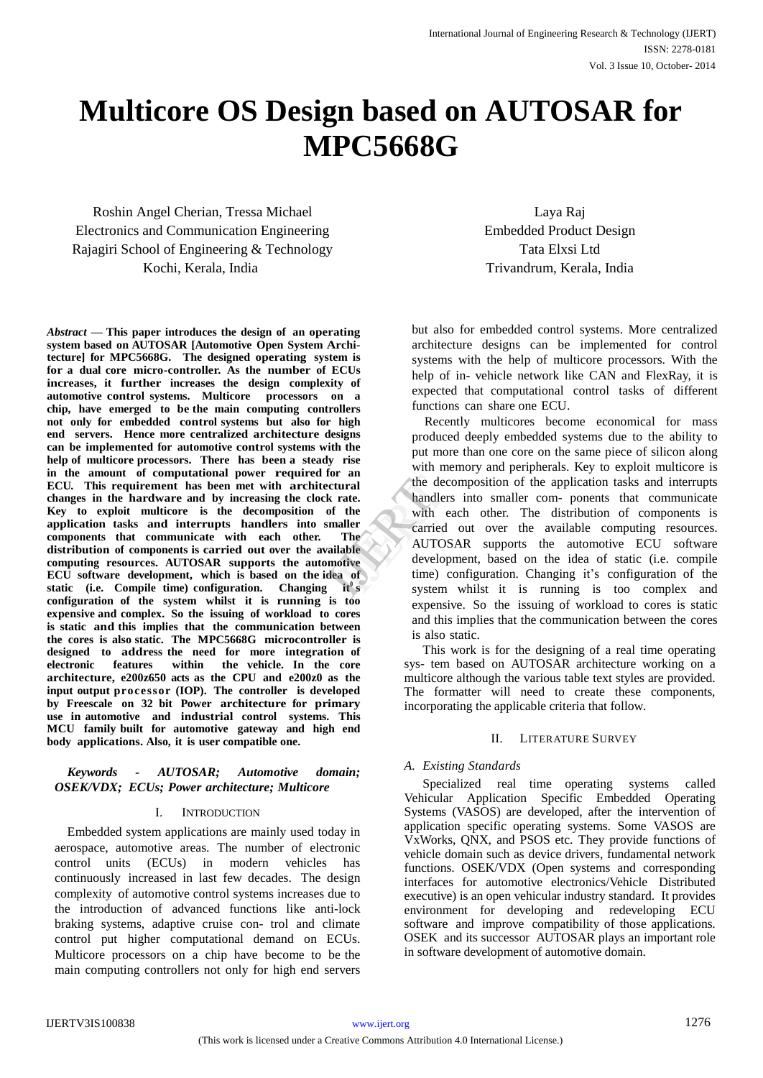# **Multicore OS Design based on AUTOSAR for MPC5668G**

Roshin Angel Cherian, Tressa Michael Electronics and Communication Engineering Rajagiri School of Engineering & Technology Kochi, Kerala, India

*Abstract* **— This paper introduces the design of an operating system based on AUTOSAR [Automotive Open System Architecture] for MPC5668G. The designed operating system is for a dual core micro-controller. As the number of ECUs increases, it further increases the design complexity of automotive control systems. Multicore processors on a chip, have emerged to be the main computing controllers not only for embedded control systems but also for high end servers. Hence more centralized architecture designs can be implemented for automotive control systems with the help of multicore processors. There has been a steady rise in the amount of computational power required for an ECU. This requirement has been met with architectural changes in the hardware and by increasing the clock rate. Key to exploit multicore is the decomposition of the application tasks and interrupts handlers into smaller components that communicate with each other. The distribution of components is carried out over the available computing resources. AUTOSAR supports the automotive ECU software development, which is based on the idea of**  static (i.e. Compile time) configuration. Changing it<sup>®</sup>s **configuration of the system whilst it is running is too expensive and complex. So the issuing of workload to cores is static and this implies that the communication between the cores is also static. The MPC5668G microcontroller is designed to address the need for more integration of** within the vehicle. In the core **architecture, e200z650 acts as the CPU and e200z0 as the input output processor (IOP). The controller is developed by Freescale on 32 bit Power architecture for primary use in automotive and industrial control systems. This MCU family built for automotive gateway and high end body applications. Also, it is user compatible one.**

# *Keywords - AUTOSAR; Automotive domain; OSEK/VDX; ECUs; Power architecture; Multicore*

# I. INTRODUCTION

Embedded system applications are mainly used today in aerospace, automotive areas. The number of electronic control units (ECUs) in modern vehicles has continuously increased in last few decades. The design complexity of automotive control systems increases due to the introduction of advanced functions like anti-lock braking systems, adaptive cruise con- trol and climate control put higher computational demand on ECUs. Multicore processors on a chip have become to be the main computing controllers not only for high end servers

Laya Raj Embedded Product Design Tata Elxsi Ltd Trivandrum, Kerala, India

but also for embedded control systems. More centralized architecture designs can be implemented for control systems with the help of multicore processors. With the help of in- vehicle network like CAN and FlexRay, it is expected that computational control tasks of different functions can share one ECU.

Recently multicores become economical for mass produced deeply embedded systems due to the ability to put more than one core on the same piece of silicon along with memory and peripherals. Key to exploit multicore is the decomposition of the application tasks and interrupts handlers into smaller com- ponents that communicate with each other. The distribution of components is carried out over the available computing resources. AUTOSAR supports the automotive ECU software development, based on the idea of static (i.e. compile time) configuration. Changing it's configuration of the system whilst it is running is too complex and expensive. So the issuing of workload to cores is static and this implies that the communication between the cores is also static. The the decomposition of the decomposition of the same of the same of the same of the same of the same of the same of the same of the same of the same of the same of the same of the same of the same of the same of the same

> This work is for the designing of a real time operating sys- tem based on AUTOSAR architecture working on a multicore although the various table text styles are provided. The formatter will need to create these components, incorporating the applicable criteria that follow.

# II. LITERATURE SURVEY

# *A. Existing Standards*

Specialized real time operating systems called Vehicular Application Specific Embedded Operating Systems (VASOS) are developed, after the intervention of application specific operating systems. Some VASOS are VxWorks, QNX, and PSOS etc. They provide functions of vehicle domain such as device drivers, fundamental network functions. OSEK/VDX (Open systems and corresponding interfaces for automotive electronics/Vehicle Distributed executive) is an open vehicular industry standard. It provides environment for developing and redeveloping ECU software and improve compatibility of those applications. OSEK and its successor AUTOSAR plays an important role in software development of automotive domain.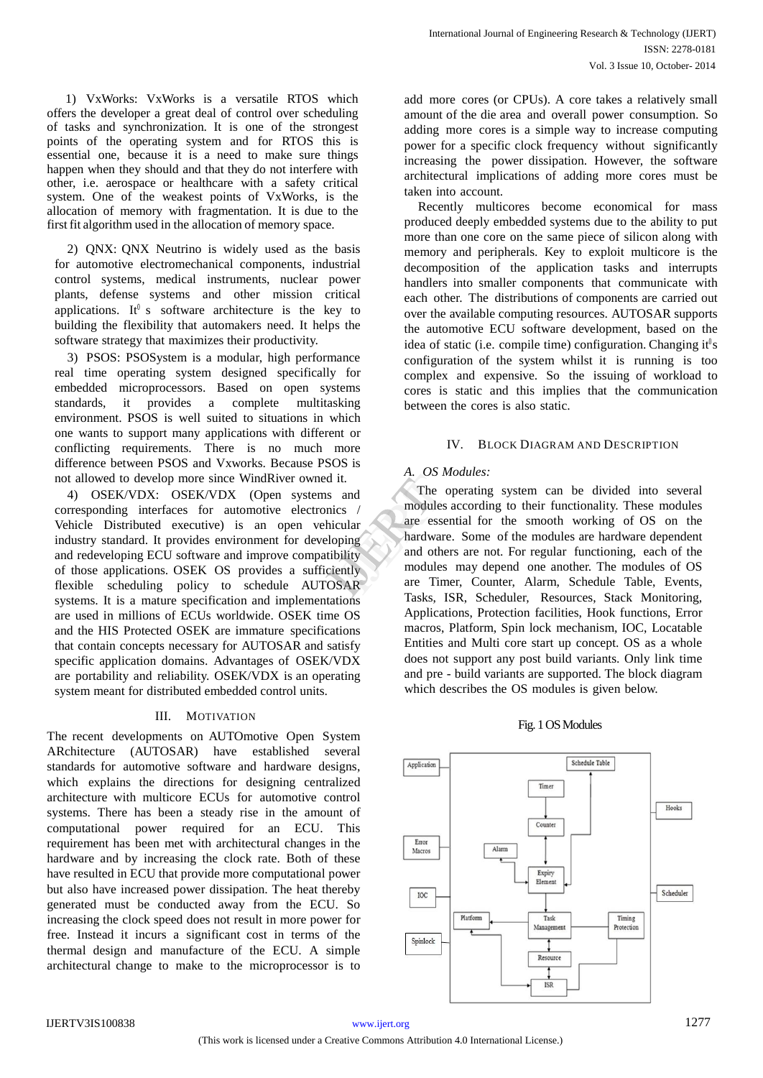1) VxWorks: VxWorks is a versatile RTOS which offers the developer a great deal of control over scheduling of tasks and synchronization. It is one of the strongest points of the operating system and for RTOS this is essential one, because it is a need to make sure things happen when they should and that they do not interfere with other, i.e. aerospace or healthcare with a safety critical system. One of the weakest points of VxWorks, is the allocation of memory with fragmentation. It is due to the first fit algorithm used in the allocation of memory space.

2) QNX: QNX Neutrino is widely used as the basis for automotive electromechanical components, industrial control systems, medical instruments, nuclear power plants, defense systems and other mission critical applications. It<sup> $0$ </sup> s software architecture is the key to building the flexibility that automakers need. It helps the software strategy that maximizes their productivity.

3) PSOS: PSOSystem is a modular, high performance real time operating system designed specifically for embedded microprocessors. Based on open systems standards, it provides a complete multitasking environment. PSOS is well suited to situations in which one wants to support many applications with different or conflicting requirements. There is no much more difference between PSOS and Vxworks. Because PSOS is not allowed to develop more since WindRiver owned it.

4) OSEK/VDX: OSEK/VDX (Open systems and corresponding interfaces for automotive electronics / Vehicle Distributed executive) is an open vehicular industry standard. It provides environment for developing and redeveloping ECU software and improve compatibility of those applications. OSEK OS provides a sufficiently flexible scheduling policy to schedule AUTOSAR systems. It is a mature specification and implementations are used in millions of ECUs worldwide. OSEK time OS and the HIS Protected OSEK are immature specifications that contain concepts necessary for AUTOSAR and satisfy specific application domains. Advantages of OSEK/VDX are portability and reliability. OSEK/VDX is an operating system meant for distributed embedded control units.

# III. MOTIVATION

The recent developments on AUTOmotive Open System ARchitecture (AUTOSAR) have established several standards for automotive software and hardware designs, which explains the directions for designing centralized architecture with multicore ECUs for automotive control systems. There has been a steady rise in the amount of computational power required for an ECU. This requirement has been met with architectural changes in the hardware and by increasing the clock rate. Both of these have resulted in ECU that provide more computational power but also have increased power dissipation. The heat thereby generated must be conducted away from the ECU. So increasing the clock speed does not result in more power for free. Instead it incurs a significant cost in terms of the thermal design and manufacture of the ECU. A simple architectural change to make to the microprocessor is to

add more cores (or CPUs). A core takes a relatively small amount of the die area and overall power consumption. So adding more cores is a simple way to increase computing power for a specific clock frequency without significantly increasing the power dissipation. However, the software architectural implications of adding more cores must be taken into account.

Recently multicores become economical for mass produced deeply embedded systems due to the ability to put more than one core on the same piece of silicon along with memory and peripherals. Key to exploit multicore is the decomposition of the application tasks and interrupts handlers into smaller components that communicate with each other. The distributions of components are carried out over the available computing resources. AUTOSAR supports the automotive ECU software development, based on the idea of static (i.e. compile time) configuration. Changing it  $\theta$  s configuration of the system whilst it is running is too complex and expensive. So the issuing of workload to cores is static and this implies that the communication between the cores is also static.

# IV. BLOCK DIAGRAM AND DESCRIPTION

# *A. OS Modules:*

The operating system can be divided into several modules according to their functionality. These modules are essential for the smooth working of OS on the hardware. Some of the modules are hardware dependent and others are not. For regular functioning, each of the modules may depend one another. The modules of OS are Timer, Counter, Alarm, Schedule Table, Events, Tasks, ISR, Scheduler, Resources, Stack Monitoring, Applications, Protection facilities, Hook functions, Error macros, Platform, Spin lock mechanism, IOC, Locatable Entities and Multi core start up concept. OS as a whole does not support any post build variants. Only link time and pre - build variants are supported. The block diagram which describes the OS modules is given below. it.<br>
and<br>
cs<br>
dular<br>
modules are<br>
modules are<br>
modules r<br>
mand others<br>
modules r<br>
modules r<br>
modules r<br>
modules r<br>
modules r<br>
modules r<br>
modules r<br>
modules r<br>
modules r<br>
modules r<br>
modules r<br>
modules r<br>
modules r<br>
modules

# Fig. 1 OS Modules

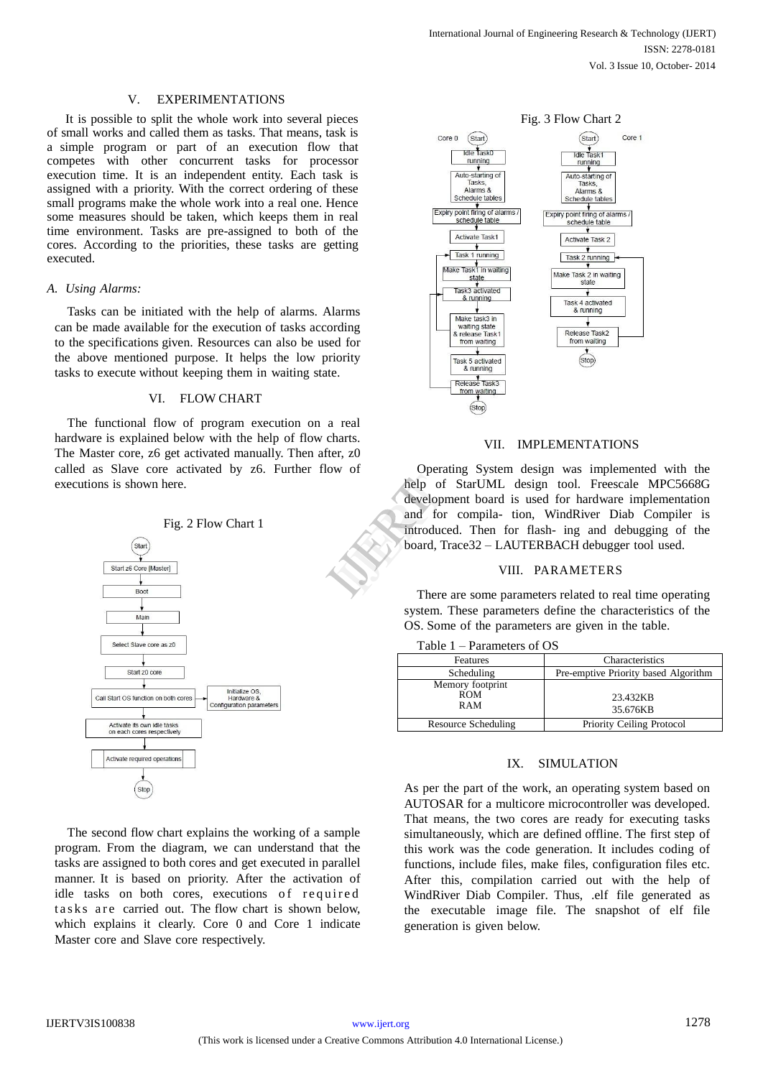#### V. EXPERIMENTATIONS

It is possible to split the whole work into several pieces of small works and called them as tasks. That means, task is a simple program or part of an execution flow that competes with other concurrent tasks for processor execution time. It is an independent entity. Each task is assigned with a priority. With the correct ordering of these small programs make the whole work into a real one. Hence some measures should be taken, which keeps them in real time environment. Tasks are pre-assigned to both of the cores. According to the priorities, these tasks are getting executed.

#### *A. Using Alarms:*

Tasks can be initiated with the help of alarms. Alarms can be made available for the execution of tasks according to the specifications given. Resources can also be used for the above mentioned purpose. It helps the low priority tasks to execute without keeping them in waiting state.

#### VI. FLOW CHART

The functional flow of program execution on a real hardware is explained below with the help of flow charts. The Master core, z6 get activated manually. Then after, z0 called as Slave core activated by z6. Further flow of executions is shown here.



The second flow chart explains the working of a sample program. From the diagram, we can understand that the tasks are assigned to both cores and get executed in parallel manner. It is based on priority. After the activation of idle tasks on both cores, executions of required tasks are carried out. The flow chart is shown below, which explains it clearly. Core 0 and Core 1 indicate Master core and Slave core respectively.



#### VII. IMPLEMENTATIONS

Operating System design was implemented with the help of StarUML design tool. Freescale MPC5668G development board is used for hardware implementation and for compila- tion, WindRiver Diab Compiler is introduced. Then for flash- ing and debugging of the board, Trace32 – LAUTERBACH debugger tool used. help of Strategy and for the introduced board, Transported board and the strategy of the strategy of the strategy of the strategy of the strategy of the strategy of the strategy of the strategy of the strategy of the strat

#### VIII. PARAMETERS

There are some parameters related to real time operating system. These parameters define the characteristics of the OS. Some of the parameters are given in the table.

|  |  | Table 1 – Parameters of OS |  |  |
|--|--|----------------------------|--|--|
|--|--|----------------------------|--|--|

| Features                              | Characteristics                      |  |  |
|---------------------------------------|--------------------------------------|--|--|
| Scheduling                            | Pre-emptive Priority based Algorithm |  |  |
| Memory footprint<br><b>ROM</b><br>RAM | 23.432KB<br>35.676KB                 |  |  |
| Resource Scheduling                   | Priority Ceiling Protocol            |  |  |

#### IX. SIMULATION

As per the part of the work, an operating system based on AUTOSAR for a multicore microcontroller was developed. That means, the two cores are ready for executing tasks simultaneously, which are defined offline. The first step of this work was the code generation. It includes coding of functions, include files, make files, configuration files etc. After this, compilation carried out with the help of WindRiver Diab Compiler. Thus, .elf file generated as the executable image file. The snapshot of elf file generation is given below.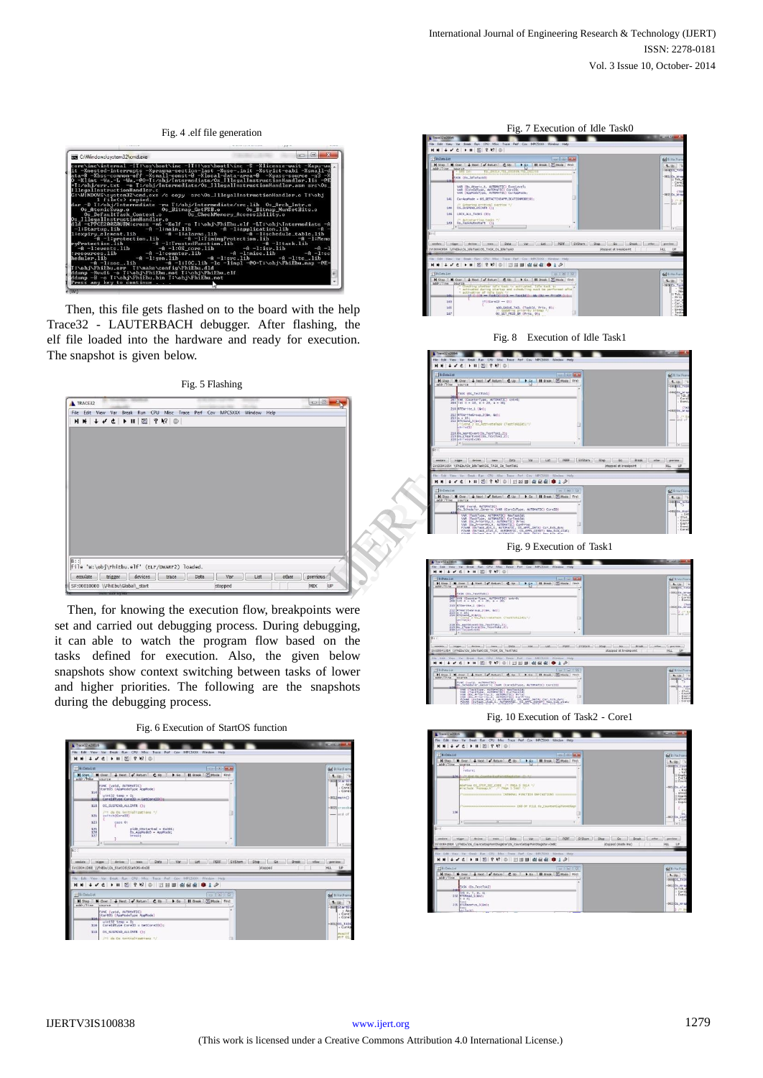

Then, this file gets flashed on to the board with the help Trace32 - LAUTERBACH debugger. After flashing, the elf file loaded into the hardware and ready for execution. The snapshot is given below.

Fig. 5 Flashing



Then, for knowing the execution flow, breakpoints were set and carried out debugging process. During debugging, it can able to watch the program flow based on the tasks defined for execution. Also, the given below snapshots show context switching between tasks of lower and higher priorities. The following are the snapshots during the debugging process.











Fig. 9 Execution of Task1



Fig. 10 Execution of Task2 - Core1